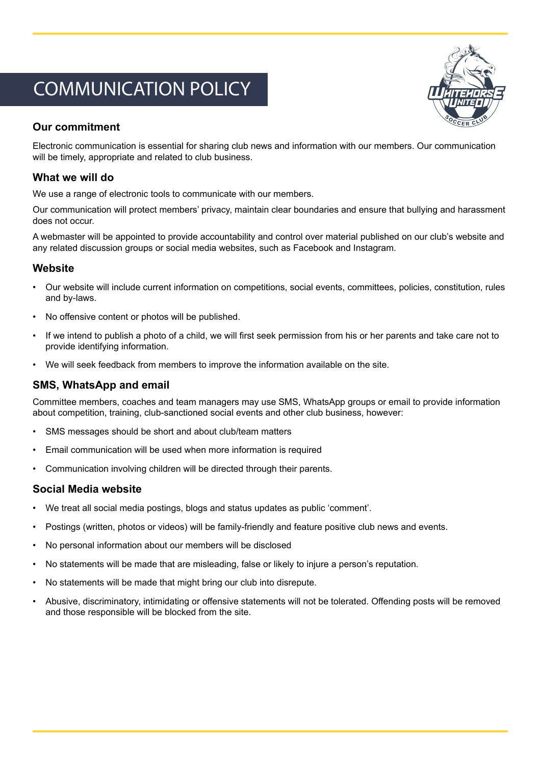# COMMUNICATION POLICY



## **Our commitment**

Electronic communication is essential for sharing club news and information with our members. Our communication will be timely, appropriate and related to club business.

## **What we will do**

We use a range of electronic tools to communicate with our members.

Our communication will protect members' privacy, maintain clear boundaries and ensure that bullying and harassment does not occur.

A webmaster will be appointed to provide accountability and control over material published on our club's website and any related discussion groups or social media websites, such as Facebook and Instagram.

#### **Website**

- Our website will include current information on competitions, social events, committees, policies, constitution, rules and by-laws.
- No offensive content or photos will be published.
- If we intend to publish a photo of a child, we will first seek permission from his or her parents and take care not to provide identifying information.
- We will seek feedback from members to improve the information available on the site.

### **SMS, WhatsApp and email**

Committee members, coaches and team managers may use SMS, WhatsApp groups or email to provide information about competition, training, club-sanctioned social events and other club business, however:

- SMS messages should be short and about club/team matters
- Email communication will be used when more information is required
- Communication involving children will be directed through their parents.

#### **Social Media website**

- We treat all social media postings, blogs and status updates as public 'comment'.
- Postings (written, photos or videos) will be family-friendly and feature positive club news and events.
- No personal information about our members will be disclosed
- No statements will be made that are misleading, false or likely to injure a person's reputation.
- No statements will be made that might bring our club into disrepute.
- Abusive, discriminatory, intimidating or offensive statements will not be tolerated. Offending posts will be removed and those responsible will be blocked from the site.